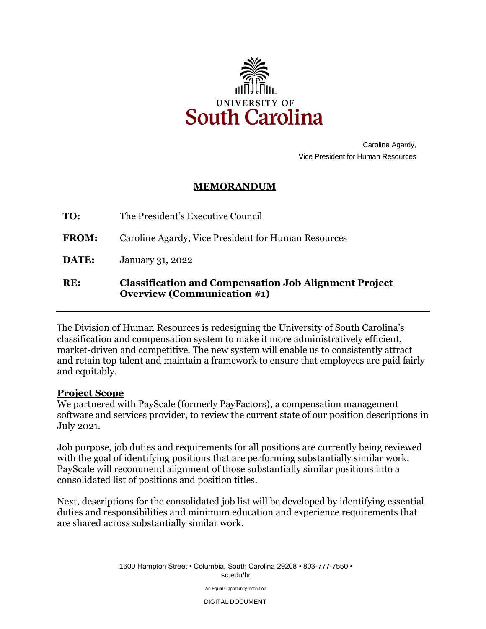

 Caroline Agardy, Vice President for Human Resources

## **MEMORANDUM**

**TO:** The President's Executive Council

**FROM:** Caroline Agardy, Vice President for Human Resources

**DATE:** January 31, 2022

## **RE: Classification and Compensation Job Alignment Project Overview (Communication #1)**

he Division of Human Resources is redesigning the University of South Carolina's classification and compensation system to make it more administratively efficient, market-driven and competitive. The new system will enable us to consistently attract and retain top talent and maintain a framework to ensure that employees are paid fairly and equitably.

## **Project Scope**

We partnered with PayScale (formerly PayFactors), a compensation management software and services provider, to review the current state of our position descriptions in July 2021.

 Job purpose, job duties and requirements for all positions are currently being reviewed with the goal of identifying positions that are performing substantially similar work. PayScale will recommend alignment of those substantially similar positions into a consolidated list of positions and position titles.

Next, descriptions for the consolidated job list will be developed by identifying essential duties and responsibilities and minimum education and experience requirements that are shared across substantially similar work.

> 1600 Hampton Street • Columbia, South Carolina 29208 • 803-777-7550 • [sc.edu/hr](https://sc.edu/hr)

> > An Equal Opportunity Institution

DIGITAL DOCUMENT